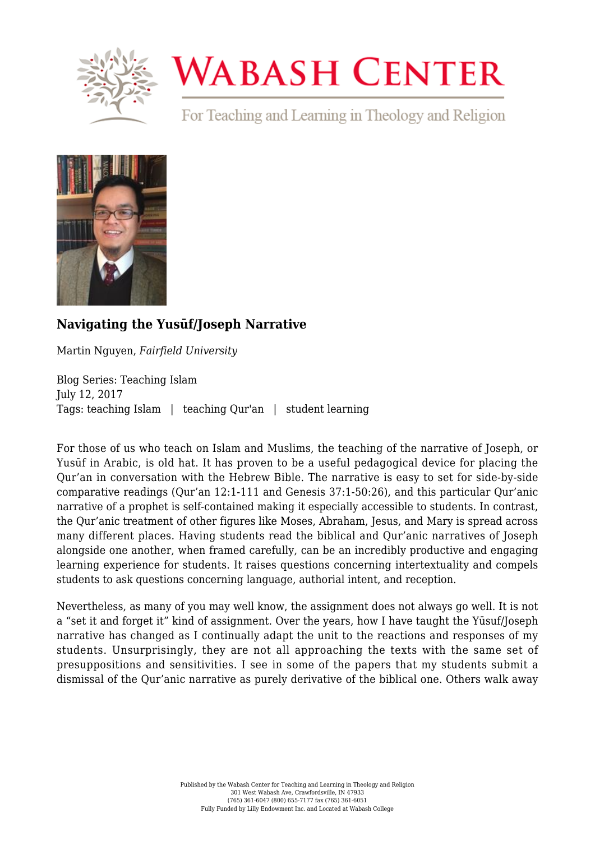

## **WABASH CENTER**

For Teaching and Learning in Theology and Religion



## **[Navigating the Yusūf/Joseph Narrative](https://www.wabashcenter.wabash.edu/2017/07/navigating-yusufjoseph-narrative/)**

Martin Nguyen, *Fairfield University*

Blog Series: Teaching Islam July 12, 2017 Tags: teaching Islam | teaching Qur'an | student learning

For those of us who teach on Islam and Muslims, the teaching of the narrative of Joseph, or Yusūf in Arabic, is old hat. It has proven to be a useful pedagogical device for placing the Qur'an in conversation with the Hebrew Bible. The narrative is easy to set for side-by-side comparative readings (Qur'an 12:1-111 and Genesis 37:1-50:26), and this particular Qur'anic narrative of a prophet is self-contained making it especially accessible to students. In contrast, the Qur'anic treatment of other figures like Moses, Abraham, Jesus, and Mary is spread across many different places. Having students read the biblical and Qur'anic narratives of Joseph alongside one another, when framed carefully, can be an incredibly productive and engaging learning experience for students. It raises questions concerning intertextuality and compels students to ask questions concerning language, authorial intent, and reception.

Nevertheless, as many of you may well know, the assignment does not always go well. It is not a "set it and forget it" kind of assignment. Over the years, how I have taught the Yūsuf/Joseph narrative has changed as I continually adapt the unit to the reactions and responses of my students. Unsurprisingly, they are not all approaching the texts with the same set of presuppositions and sensitivities. I see in some of the papers that my students submit a dismissal of the Qur'anic narrative as purely derivative of the biblical one. Others walk away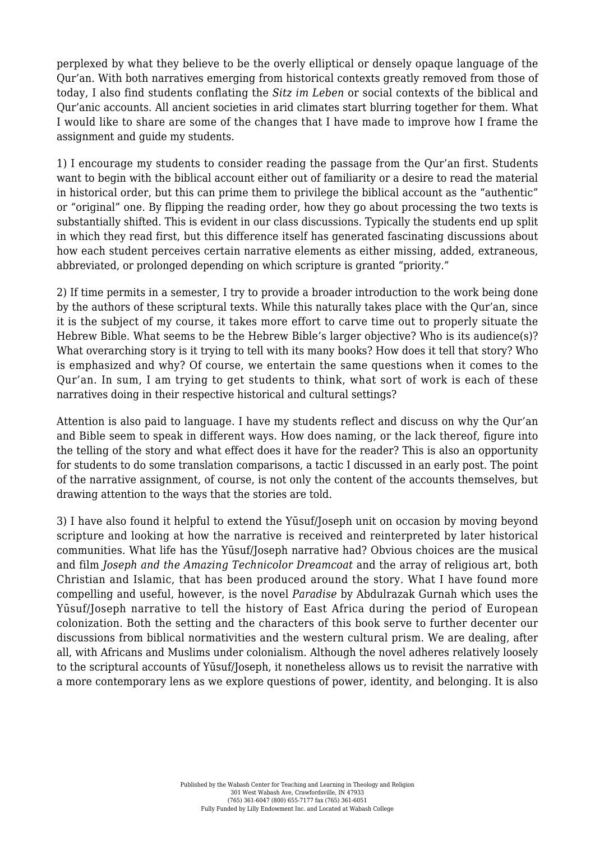perplexed by what they believe to be the overly elliptical or densely opaque language of the Qur'an. With both narratives emerging from historical contexts greatly removed from those of today, I also find students conflating the *Sitz im Leben* or social contexts of the biblical and Qur'anic accounts. All ancient societies in arid climates start blurring together for them. What I would like to share are some of the changes that I have made to improve how I frame the assignment and guide my students.

1) I encourage my students to consider reading the passage from the Qur'an first. Students want to begin with the biblical account either out of familiarity or a desire to read the material in historical order, but this can prime them to privilege the biblical account as the "authentic" or "original" one. By flipping the reading order, how they go about processing the two texts is substantially shifted. This is evident in our class discussions. Typically the students end up split in which they read first, but this difference itself has generated fascinating discussions about how each student perceives certain narrative elements as either missing, added, extraneous, abbreviated, or prolonged depending on which scripture is granted "priority."

2) If time permits in a semester, I try to provide a broader introduction to the work being done by the authors of these scriptural texts. While this naturally takes place with the Qur'an, since it is the subject of my course, it takes more effort to carve time out to properly situate the Hebrew Bible. What seems to be the Hebrew Bible's larger objective? Who is its audience(s)? What overarching story is it trying to tell with its many books? How does it tell that story? Who is emphasized and why? Of course, we entertain the same questions when it comes to the Qur'an. In sum, I am trying to get students to think, what sort of work is each of these narratives doing in their respective historical and cultural settings?

Attention is also paid to language. I have my students reflect and discuss on why the Qur'an and Bible seem to speak in different ways. How does naming, or the lack thereof, figure into the telling of the story and what effect does it have for the reader? This is also an opportunity for students to do some translation comparisons, a tactic I discussed in an early post. The point of the narrative assignment, of course, is not only the content of the accounts themselves, but drawing attention to the ways that the stories are told.

3) I have also found it helpful to extend the Yūsuf/Joseph unit on occasion by moving beyond scripture and looking at how the narrative is received and reinterpreted by later historical communities. What life has the Yūsuf/Joseph narrative had? Obvious choices are the musical and film *Joseph and the Amazing Technicolor Dreamcoat* and the array of religious art, both Christian and Islamic, that has been produced around the story. What I have found more compelling and useful, however, is the novel *Paradise* by Abdulrazak Gurnah which uses the Yūsuf/Joseph narrative to tell the history of East Africa during the period of European colonization. Both the setting and the characters of this book serve to further decenter our discussions from biblical normativities and the western cultural prism. We are dealing, after all, with Africans and Muslims under colonialism. Although the novel adheres relatively loosely to the scriptural accounts of Yūsuf/Joseph, it nonetheless allows us to revisit the narrative with a more contemporary lens as we explore questions of power, identity, and belonging. It is also